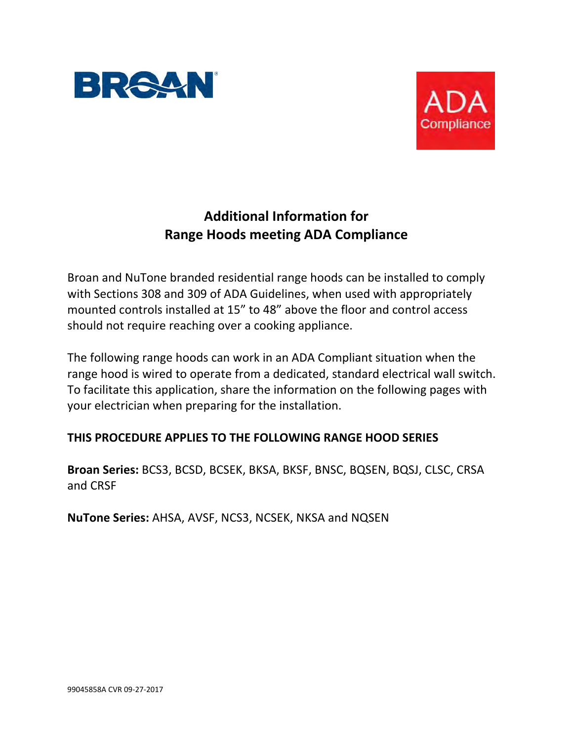



# **Additional Information for Range Hoods meeting ADA Compliance**

Broan and NuTone branded residential range hoods can be installed to comply with Sections 308 and 309 of ADA Guidelines, when used with appropriately mounted controls installed at 15" to 48" above the floor and control access should not require reaching over a cooking appliance.

The following range hoods can work in an ADA Compliant situation when the range hood is wired to operate from a dedicated, standard electrical wall switch. To facilitate this application, share the information on the following pages with your electrician when preparing for the installation.

# **THIS PROCEDURE APPLIES TO THE FOLLOWING RANGE HOOD SERIES**

**Broan Series:** BCS3, BCSD, BCSEK, BKSA, BKSF, BNSC, BQSEN, BQSJ, CLSC, CRSA and CRSF

**NuTone Series:** AHSA, AVSF, NCS3, NCSEK, NKSA and NQSEN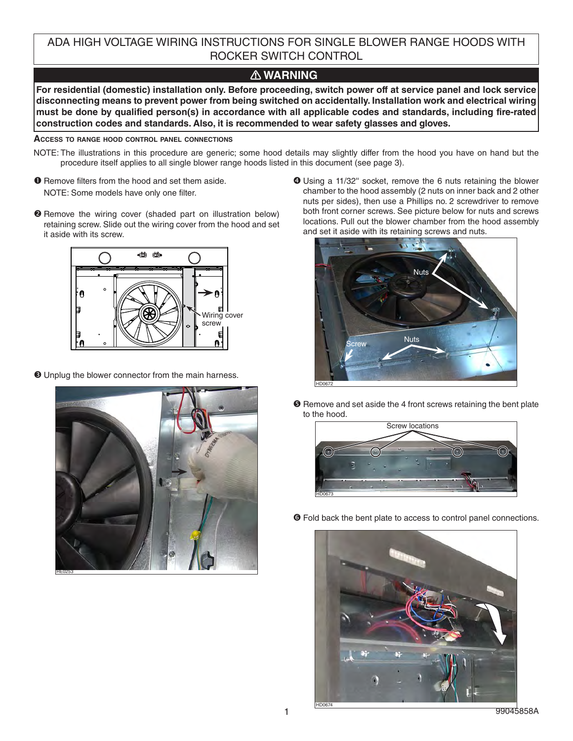ADA HIGH VOLTAGE WIRING INSTRUCTIONS FOR SINGLE BLOWER RANGE HOODS WITH ROCKER SWITCH CONTROL

## **! WARNING**

**For residential (domestic) installation only. Before proceeding, switch power off at service panel and lock service disconnecting means to prevent power from being switched on accidentally. Installation work and electrical wiring must be done by qualified person(s) in accordance with all applicable codes and standards, including fire-rated construction codes and standards. Also, it is recommended to wear safety glasses and gloves.**

### **ACCESS TO RANGE HOOD CONTROL PANEL CONNECTIONS**

- NOTE: The illustrations in this procedure are generic; some hood details may slightly differ from the hood you have on hand but the procedure itself applies to all single blower range hoods listed in this document (see page 3).
- **O** Remove filters from the hood and set them aside. NOTE: Some models have only one filter.
- **2** Remove the wiring cover (shaded part on illustration below) retaining screw. Slide out the wiring cover from the hood and set it aside with its screw.



 $\Theta$  Unplug the blower connector from the main harness.



 Using a 11/32'' socket, remove the 6 nuts retaining the blower chamber to the hood assembly (2 nuts on inner back and 2 other nuts per sides), then use a Phillips no. 2 screwdriver to remove both front corner screws. See picture below for nuts and screws locations. Pull out the blower chamber from the hood assembly and set it aside with its retaining screws and nuts.



 $\Theta$  Remove and set aside the 4 front screws retaining the bent plate to the hood.



Fold back the bent plate to access to control panel connections.

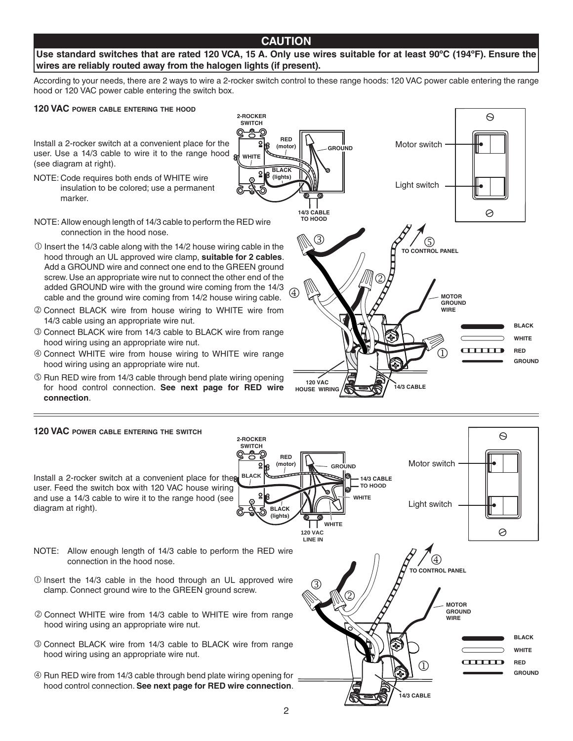### **CAUTION**

### Use standard switches that are rated 120 VCA, 15 A. Only use wires suitable for at least 90°C (194°F). Ensure the **wires are reliably routed away from the halogen lights (if present).**

According to your needs, there are 2 ways to wire a 2-rocker switch control to these range hoods: 120 VAC power cable entering the range hood or 120 VAC power cable entering the switch box.

> **2-ROCKER SWITCH**

> > **WHITE**

#### **120 VAC POWER CABLE ENTERING THE HOOD**

Install a 2-rocker switch at a convenient place for the user. Use a 14/3 cable to wire it to the range hood  $\frac{1}{2}$ (see diagram at right).

- NOTE: Code requires both ends of WHITE wire insulation to be colored; use a permanent marker.
- NOTE: Allow enough length of 14/3 cable to perform the RED wire connection in the hood nose.
- $O$  Insert the 14/3 cable along with the 14/2 house wiring cable in the hood through an UL approved wire clamp, **suitable for 2 cables**. Add a GROUND wire and connect one end to the GREEN ground screw. Use an appropriate wire nut to connect the other end of the added GROUND wire with the ground wire coming from the 14/3 cable and the ground wire coming from 14/2 house wiring cable.
- Connect BLACK wire from house wiring to WHITE wire from 14/3 cable using an appropriate wire nut.
- Connect BLACK wire from 14/3 cable to BLACK wire from range hood wiring using an appropriate wire nut.
- Connect WHITE wire from house wiring to WHITE wire range hood wiring using an appropriate wire nut.
- **E** Run RED wire from 14/3 cable through bend plate wiring opening for hood control connection. **See next page for RED wire connection**.